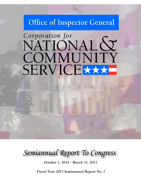## Office of Inspector General

# Corporation for NATIONAL & COMMUNITY SERVICE

*Semiannual Report To Congress*

*October 1, 2014 - March 31, 2015*

*Fiscal Year 2015 Semiannual Report No. 1*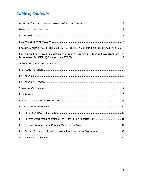## *Table of Contents*

|      | FINANCIAL STATEMENT AUDIT FINDS SIGNIFICANT DEFICIENCIES IN CORPORATION'S INTERNAL CONTROLS  7 |
|------|------------------------------------------------------------------------------------------------|
|      | INDEPENDENT EVALUATION FINDS INFORMATION SECURITY WEAKNESSES - FEDERAL INFORMATION SECURITY    |
|      |                                                                                                |
|      |                                                                                                |
|      |                                                                                                |
|      |                                                                                                |
|      |                                                                                                |
|      |                                                                                                |
|      |                                                                                                |
|      |                                                                                                |
| I.   |                                                                                                |
| ΙΙ.  |                                                                                                |
| III. |                                                                                                |
| IV.  | REPORTS DESCRIBED IN PRIOR SEMIANNUAL REPORTS WITHOUT FINAL ACTION  33                         |
| V.   |                                                                                                |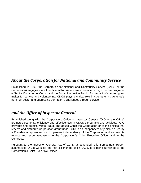## <span id="page-2-0"></span>*About the Corporation for National and Community Service*

Established in 1993, the Corporation for National and Community Service (CNCS or the Corporation) engages more than five million Americans in service through its core programs -- Senior Corps, AmeriCorps, and the Social Innovation Fund. As the nation's largest grant maker for service and volunteering, CNCS plays a critical role in strengthening America's nonprofit sector and addressing our nation's challenges through service.

## *and the Office of Inspector General*

Established along with the Corporation, Office of Inspector General (OIG or the Office) promotes economy, efficiency and effectiveness in CNCS's programs and activities. OIG prevents and detects waste, fraud, and abuse within the Corporation or at the entities that receive and distribute Corporation grant funds. OIG is an independent organization, led by a Presidential appointee, which operates independently of the Corporation and submits its reports and recommendations to the Corporation's Chief Executive Officer and to the Congress.

Pursuant to the Inspector General Act of 1978, as amended, this Semiannual Report summarizes OIG's work for the first six months of FY 2015. It is being furnished to the Corporation's Chief Executive Officer.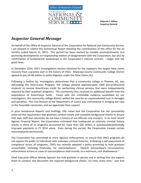

**Deborah J. Jeffrey Inspector General**

## <span id="page-3-0"></span>*Inspector General Message*

On behalf of the Office of Inspector General of the Corporation for National and Community Service, I am pleased to submit this Semiannual Report detailing the contributions of this office for the six months ended March 31, 2015. This period has been marked by notable accomplishments and promising developments on longstanding matters of disagreement with the Corporation, but also by confirmation of fundamental weaknesses in the Corporation's internal controls. I begin with the good news.

In December 2014, OIG's Investigations Section obtained for the taxpayers the largest false claims recovery from a grantee ever in the history of CNCS. Maricopa County Community College District agreed to pay \$4.08 million to settle litigation under the False Claims Act.

Following a hotline tip, investigators determined that a community college in Phoenix, AZ, was defrauding the AmeriCorps Program; the college allowed approximately 1000 pre-professional students to receive AmeriCorps credit for performing clinical services that were independently required by their academic programs. The community thus received no additional benefit from the expenditure of AmeriCorps funds. Faced with the irrefutable evidence assembled by our investigators, the community college district settled the case for an unprecedented sum in damages and penalties. The Civil Division of the Department of Justice was instrumental in bringing the case to this favorable conclusion, and we appreciate their support.

In prior Semiannual Reports and briefings, OIG noted that the Corporation has not consistently enforced the requirement that grantees conduct timely and complete background checks to ensure that their staff and volunteers do not have a history of sex offenses and murders. In its most recent Agency Financial Report, the Corporation estimated that inadequate or untimely criminal history checks in three of its programs accounted for more than \$26 million in questionable/potentially improper payments in FY 2014 alone. Even during this period, the Corporation treated certain noncompliance permissively.

The Corporation has committed to more rigorous enforcement, to ensure that CNCS programs do not expose the public to individuals with unknown criminal histories. Following a self-assessment of compliance across all programs, CNCS has recently adopted a policy promising to hold grantees accountable, including financially, for noncompliance: "Absent extraordinary circumstances, enforcement actions in cases of noncompliance shall include, at a minimum, cost disallowance."

Chief Executive Officer Wendy Spencer has told grantees in person and in writing that she expects them to conduct and document the required background checks "on time, every time," and that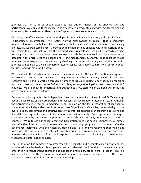grantees that fail to do so should expect to lose out on money for the affected staff and participants. We applaud these measures as a necessary ingredient, along with regular training and other compliance assistance offered by the Corporation, to make safety a priority.

Of course, the effectiveness of this policy depends on how it is implemented, and specifically what "extraordinary circumstances" will justify waiving disallowance of costs. That all-important exception has yet to be defined. If construed broadly, it could swallow the rule, breed complacency and actually weaken compliance. Corporation management has engaged OIG in discussions about this critical topic. We believe that the extraordinary circumstances should be narrowly defined, focusing on matters outside the grantee's control or which the grantee could not have prevented or detected with a high level of diligence and strong management oversight. That approach would reinforce the message that criminal history checking is a matter of the highest priority, for which grantees will be held to a high standard of accountability. OIG shares Congressional concern about this issue and will monitor it closely.

We describe in the attached report several other areas in which OIG and Corporation management are working together constructively to strengthen accountability. Agency leadership has been receptive and helpful in working through a number of issues, including a new policy on reporting fraud and other misconduct to the OIG and describing employees' obligations to cooperate with OIG inquiries. We are about to undertake joint outreach to CNCS staff, which we hope will encourage active cooperation and assistance.

On a more sobering note, the independent financial statement audit confirmed OIG's warnings about the weakness of the Corporation's internal controls, which deteriorated in FY 2014. Although the Corporation received an unmodified (clean) opinion on the fair presentation of its financial statements, the independent auditors found two "significant deficiencies," one relating to the overall design, assessment and effectiveness of the internal controls over program operations and financial reporting, and the other in the area of information security. Both represent worsening of conditions noted by the auditors in prior years, and which they, and OIG, urged the Corporation to improve. We reiterate our concern that the Corporation does not have a comprehensive, timely and effective internal control assessment and monitoring program that includes effective governance, personnel with the necessary training and skills, and management supervision and follow-up. The lack of effective internal controls leaves the Corporation's programs and activities unnecessarily vulnerable to fraud and exposed to excessive risk, including across-the-board weaknesses in information security.

The Corporation has committed to strengthen the Oversight and Accountability function and has introduced new leadership. Management has also declared its intention to move towards an enterprise risk management approach and has taken preliminary steps in that direction. This is a major challenge for the Corporation and will require a sustained, well-resourced effort, with continuing involvement of the Corporation's leadership.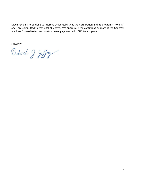Much remains to be done to improve accountability at the Corporation and its programs. My staff and I are committed to that vital objective. We appreciate the continuing support of the Congress and look forward to further constructive engagement with CNCS management.

Sincerely,

Detoich & Jeffry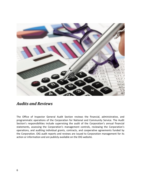

## <span id="page-6-0"></span>*Audits and Reviews*

The Office of Inspector General Audit Section reviews the financial, administrative, and programmatic operations of the Corporation for National and Community Service. The Audit Section's responsibilities include supervising the audit of the Corporation's annual financial statements, assessing the Corporation's management controls, reviewing the Corporation's operations, and auditing individual grants, contracts, and cooperative agreements funded by the Corporation. OIG audit reports and reviews are issued to Corporation management for its action or information and are publicly available on the OIG website.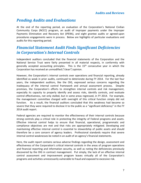## <span id="page-7-0"></span>*Pending Audits and Evaluations*

At the end of the reporting period, an evaluation of the Corporation's National Civilian Community Corps (NCCC) program, an audit of improper payments under the Improper Payments Elimination and Recovery Act (IPERA), and eight grantee audits or agreed-upon procedures engagements were in process. Below are highlights of particular evaluations and audits for this reporting period.

## <span id="page-7-1"></span>*Financial Statement Audit Finds Significant Deficiencies in Corporation's Internal Controls*

Independent auditors concluded that the financial statements of the Corporation and the National Service Trust were fairly presented in all material respects, in conformity with generally accepted accounting principles. This is the 15<sup>th</sup> consecutive year in which the Corporation has received an unmodified ("clean") opinion.

However, the Corporation's internal controls over operations and financial reporting, already identified as weak in prior audits, continued to deteriorate during FY 2014. For the last four years, the independent auditors, like the OIG, expressed serious concerns regarding the inadequacy of the internal control framework and annual assessment process. Despite promises, the Corporation's efforts to strengthen internal controls and risk management, especially its capacity to properly identify and assess risks, identify controls, and evaluate control effectiveness, not only stalled, but in some areas regressed, in FY 2014. For example, the management committee charged with oversight of this critical function simply did not function. As a result, the financial auditors concluded that this weakness had become so severe that they were required to disclose it to the public as a "significant deficiency" in the FY 2014 audit report.

Federal agencies are required to monitor the effectiveness of their internal controls because strong controls play a critical role in protecting the integrity of Federal programs and assets. Effective internal control helps to ensure that financial, operational, programmatic and compliance objectives are met and that risks are appropriately mitigated. Developing and maintaining effective internal control is essential to stewardship of public assets and should therefore be a core concern of agency leaders. Professional standards require that severe internal control weaknesses be noted in an audit of an agency's financial statements.

Here, the audit report contains serious adverse findings regarding the design, assessment and effectiveness of the Corporation's critical internal controls in the areas of program operations and financial reporting and information security, as well as noting the deficiencies previously discovered by the OIG in contract management. Put simply, the lack of an effective internal control assessment and improvement program leaves virtually all of the Corporation's programs and activities unnecessarily vulnerable to fraud and exposed to excessive risk.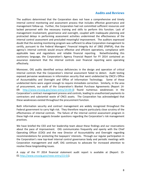#### **Audits and Reviews**

The auditors determined that the Corporation does not have a comprehensive and timely internal control monitoring and assessment process that includes effective governance and management follow-up. Further, the Corporation had not committed sufficient resources and lacked personnel with the necessary training and skills to perform this function. Lack of management involvement, governance and oversight, coupled with inadequate planning and protracted delays in performing assessment activities undermined the effectiveness of the internal control assessment and precluded meaningful improvement. The auditors expressed doubt that the existing monitoring program was sufficient to allow Corporation management to certify, pursuant to the Federal Managers' Financial Integrity Act of 1982 (FMFIA), that the agency's internal controls would ensure effective and efficient operations, compliance with applicable laws and regulations and reliable financial reporting. Notwithstanding this cautionary language, the Corporation's Agency Financial Report for FY 2014 contained an assurance statement that the internal controls over financial reporting were operating effectively.

Moreover, OIG audits identified serious deficiencies in the design and operation of critical internal controls that the Corporation's internal assessment failed to detect. Audit testing exposed pervasive weaknesses in information security that went undetected by CNCS's Office of Accountability and Oversight and Office of Information Technology. Some of these undetected items were urgent enough to require immediate correction. Similarly, in the area of procurement, our audit of the Corporation's Blanket Purchase Agreements (Report 14- 09: [http://www.cncsoig.gov/news-entry/14-09-0\)](http://www.cncsoig.gov/news-entry/14-09-0) found numerous weaknesses in the Corporation's contract management process and controls, leading to unauthorized payments to contractors and substantial waste of CNCS assets. The Corporation has acknowledged that these weaknesses existed throughout the procurement function.

Both information security and contract management are widely recognized throughout the Federal government to carry high risk. They therefore require particularly close scrutiny of the effectiveness of internal controls. The failure of the internal control assessment program in these high-risk areas suggests broader questions regarding the Corporation's risk management practices.

We have briefed the CEO and her leadership team about these findings and our reservations about the pace of improvement. OIG communicates frequently and openly with the Chief Operating Officer (COO) and the new Director of Accountability and Oversight regarding recommendations for protecting the taxpayers' interests. Through our regular participation in the Corporation's new top-level internal control governance body and periodic meetings with Corporation management and staff, OIG continues to advocate for increased attention to resolve these longstanding issues.

A copy of the FY 2014 financial statement audit report is available at (Report: 15- 01 [http://www.cncsoig.gov/news-entry/15-01\)](http://www.cncsoig.gov/news-entry/15-01).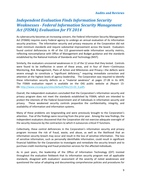## <span id="page-9-0"></span>*Independent Evaluation Finds Information Security Weaknesses - Federal Information Security Management Act (FISMA) Evaluation for FY 2014*

As cybersecurity becomes an increasing concern, the Federal Information Security Management Act (FISMA) requires every Federal agency to undergo an annual evaluation of its information security practices. The information security and privacy measures at the Corporation did not meet minimum standards and require substantial improvement across the board. Evaluators found control deficiencies in 49 of the 115 government-wide information security metrics, reflecting noncompliance with Office of Management and Budget guidance and the standards established by the National Institute of Standards and Technology (NIST).

Similarly, the evaluators uncovered weaknesses in 11 of the 12 areas that they tested. Controls were found to be ineffective in seven of these areas, and in four of them—Continuous Monitoring, Risk Management, Plans of Action and Milestones and Privacy—the defects were severe enough to constitute a "significant deficiency," requiring immediate correction and attention at the highest levels of agency leadership. The Corporation was required to identify these information security defects as a "material weakness" at pages 27-28 in its AFR. The FISMA evaluation report is available on the OIG public website at (Report 15- 03: [http://www.cncsoig.gov/sites/default/files/15-03\\_0.pdf\)](http://www.cncsoig.gov/sites/default/files/15-03_0.pdf).

Overall, the independent evaluators concluded that the Corporation's information security and privacy program does not meet the standards established by FISMA, which are intended to protect the interests of the Federal Government and of individuals in information security and privacy. These weakened security controls jeopardize the confidentiality, integrity, and availability of information and information systems.

Many of these problems are longstanding and were previously brought to the Corporation's attention. Five of the findings were recurring from the prior year. Among the new findings, the independent evaluators discovered that the Corporation did not exercise adequate oversight of the security measures by the contractors to which it outsources critical IT functions.

Collectively, these control deficiencies in the Corporation's information security and privacy program increase the risk of fraud, waste, and abuse, as well as the likelihood that an information security breach may occur and result in the loss of sensitive information. The loss of sensitive information, such as personally identifiable information, could result in significant financial liabilities for the Corporation to investigate and remediate the security breach and to purchase credit monitoring and fraud protection services for the affected individuals.

As in past years, the leadership of the Office of Information Technology (OIT) insisted throughout the evaluation fieldwork that its information security program met all applicable standards, disagreed with evaluators' assessment of the severity of noted weaknesses and questioned the value of adopting and documenting comprehensive policies and procedures for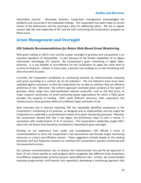#### **Audits and Reviews**

information security. Ultimately, however, Corporation management acknowledged the problems and concurred in the evaluation findings. The Corporation has taken steps to correct certain of the deficiencies and has promised a plan for addressing others. We are in regular contact with the new leadership of OIT and the COO concerning the Corporation's progress on these issues.

## <span id="page-10-0"></span>*Grant Management and Oversight*

#### *OIG Submits Recommendations for Better Risk-Based Grant Monitoring*

With grant making as CNCS's core activity, proper oversight of grantees and sub grantees is an essential ingredient of stewardship. In part because of the limited capabilities of its legacy information technology (IT) systems, the Corporation's grant monitoring is highly laborintensive. It is not feasible or cost-effective for the Corporation to apply the same level of scrutiny to all grants. Indeed, in many cases, a grantee may undergo an on-site monitoring visit only once every six years.

Currently, the Corporation establishes its monitoring priorities by indiscriminately assessing each grant according to a uniform set of risk indicators. The risk indicators have never been validated against outcomes, so that the Corporation has no data on whether they are effective predictors of risk. Moreover, the uniform approach overlooks great variation in the types of grantees, which range from well-established national nonprofits, such as the Red Cross, to major research universities, to small community-based organizations for which a CNCS grant provides the majority of funding. With vastly different resources, skills, experience and infrastructures, these grantees likely carry different types and levels of risk.

Both internally and in external reporting, OIG has repeatedly identified weaknesses in the Corporation's monitoring of its grantees, as designed and as implemented, and has urged the Corporation to undertake a comprehensive review of its grant monitoring processes. Recently, the Corporation advised OIG that it has begun the preliminary steps of such a review, in connection with modernization of its IT structure. The Corporation's leadership sought OIG's input into risk factors that should be considered in improving its grant oversight.

Drawing on our experience from audits and investigations, OIG offered a series of recommendations to focus the Corporation's risk assessments and thereby target monitoring resources in a more cost-effective manner. These suggestions include tweaks to the existing processes and also long-term solutions to overhaul the Corporation's grantee monitoring and risk assessment process.

Our primary recommendation was to jettison the indiscriminate one-size-fits-all approach in favor of risk criteria specific to each program which recognizes that different kinds of grantees and different programmatic activities present vastly different risks. Further, we recommended assessing programmatic and financial risks separately, developing a monitoring approach that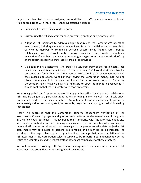targets the identified risks and assigning responsibility to staff members whose skills and training are aligned with those risks. Other suggestions included:

- Enhancing the use of Single Audit Reports
- Customizing the risk indicators for each program, grant type and grantee profile
- Adopting risk indicators to address unique features of the Corporation's operating environment, including member enrollment and turnover, partial education awards to early-exited member for compelling personal circumstances, indirect rates, grantee relationships with for-profit entities and/or significant related party transactions, evaluation of whether a particular grantee or grant type poses an enhanced risk of any of the specific categories of statutorily prohibited activities.
- Validating the risk indicators. The predictive value/accuracy of the risk indicators has never been established empirically. To the contrary, OIG looked at 40 catastrophic outcomes and found that half of the grantees were rated as low or medium risk when they ceased operations, went bankrupt owing the Corporation money, had funding placed on manual hold or were terminated for performance reasons. Since the Corporation relies heavily on its risk indicators to direct its monitoring resources, it should confirm that those indicators are good predictors.

We also suggested the Corporation assess risks by grantee rather than by grant. While some risks may be unique to a particular grant, others, including many financial issues, likely affect every grant made to the same grantee. An outdated financial management system or inadequately trained accounting staff, for example, may affect every program administered by that grantee.

Finally, we suggested that the Corporation perform independent verification of risk assessments. Currently, program and grant officers perform the risk assessments of the grants in their individual portfolios. This leverages their familiarity with the grantees, but it also introduces the potential for bias. Among other concerns, a staff member who has invested time and effort may be reluctant to acknowledge that a grantee remains risky, objective risk assessments may be clouded by personal relationships, and a high risk rating increases the workload of the responsible program or grants officer. We urge that, after completion of the risk assessments, the Corporation select a sample to be re-performed independently by the Office of Accountability and Oversight staff or others not responsible for those grantees.

We look forward to working with Corporation management to attain a more accurate risk assessment and strengthen grant oversight and stewardship.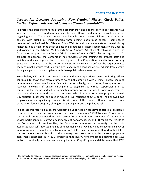#### **Audits and Reviews**

#### <span id="page-12-1"></span>*Corporation Develops Promising New Criminal History Check Policy; Further Refinements Needed to Ensure Strong Accountability*

To protect the public from harm, grantee program staff and national service participants have long been required to undergo screening for sex offenses and murder convictions before beginning work. Those with access to vulnerable populations—children, the elderly and persons with disabilities—must undergo three distinct background checks: name-based searches of the National Sex Offender Public Website and one or more state criminal history registries, plus a fingerprint check against an FBI database. These requirements were updated and codified in the Edward M. Kennedy Serve America Act of 2009, following which the Corporation adopted National Service Criminal History Check (NSCHC) rules and regulations. To promote compliance, the Corporation has regularly offered training for grantee staff and maintains a dedicated phone line to connect grantees to a Corporation specialist to answer any questions. Until mid-2014, the Corporation's stated policy was to enforce the requirement to check criminal histories by disallowing any salary, living allowance or stipend paid from a grant during any period of noncompliance with these public safety measures.

Nevertheless, OIG audits and investigations and the Corporation's own monitoring efforts continued to show that many grantees were not complying with criminal history checking requirements. Violations include failure to perform background checks; incomplete record searches; allowing staff and/or participants to begin service without supervision prior to completing the checks; and failure to maintain proper documentation. In some case, grantees outsourced the background checks to contractors who did not perform them properly. Indeed, OIG auditors discovered one case in which a sub recipient of CNCS funds had allowed two employees with disqualifying criminal histories, one of them a sex offender, to work on a Corporation-funded program, placing other participants and the public at risk.

To address this recurring issue, the Corporation undertook an assessment across all programs, requiring grantees and sub grantees to (1) complete mandatory NSCHC training, (2) review the background checks conducted for their current Corporation-funded program staff and national service participants, (3) correct any instances of noncompliance, and (4) report the results to the Corporation. As an incentive, the Corporation announced an amnesty for the costs associated with self-reported findings of noncompliance, as well as violations identified in CNCS monitoring and certain findings by our office<sup>[1](#page-12-0)</sup> OIG's last Semiannual Report noted OIG's concerns about the over breadth of the amnesty. We also noted that the improper payments assessment conducted in FY 2014 projected that NSCHC noncompliance accounted for \$6.8 million of putatively improper payments by the AmeriCorps Program and determined that RSVP

 $\overline{a}$ 

<span id="page-12-0"></span><sup>1</sup> The amnesty did not apply to certain egregious forms of noncompliance—complete failure to check criminal history or discovery of an employee or national service member with a disqualifying criminal background.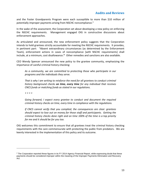and the Foster Grandparents Program were each susceptible to more than \$10 million of potentially improper payments arising from NSCHC noncompliance.[2](#page-13-0)

In the wake of the assessment, the Corporation set about developing a new policy on enforcing the NSCHC requirements. Management engaged OIG in constructive discussions about enforcement approaches.

As articulated and announced, the new enforcement policy suggests that the Corporation intends to hold grantees strictly accountable for meeting the NSCHC requirements. It provides, in pertinent part: "Absent extraordinary circumstances (as determined by the Enforcement Team), enforcement actions in cases of noncompliance [with NSCHC requirements] shall include, at a minimum, cost disallowance.**"** Other remedies and sanctions are also available.

CEO Wendy Spencer announced the new policy to the grantee community, emphasizing the importance of careful criminal history checking:

*As a community, we are committed to protecting those who participate in our programs and the individuals they serve.*

*That is why I am writing to reinforce the need for all grantees to conduct criminal history background checks on time, every time for any individual that receives CNCS funds or matching funds as stated in our regulations.*

*\* \* \* \**

 $\overline{a}$ 

*Going forward, I expect every grantee to conduct and document the required criminal history checks on time, every time in compliance with the regulations.* 

*If CNCS cannot verify that you complied, the consequences are clear: grantees should expect to lose out on money for those staff and participants. Getting the criminal history checks done right and on time 100% of the time is a top priority for me and it should be for you too.*

OIG welcomes this commitment to ensure that all grantees treat the criminal history checking requirements with the care commensurate with protecting the public from predators. We are keenly interested in the implementation of this policy and its outcome.

<span id="page-13-0"></span><sup>&</sup>lt;sup>2</sup> The Corporation reported these figures in its FY 2014 Agency Financial Report, while expressing doubt that these payments should be considered improper within the meaning of the Improper Payments Elimination and Recovery Act.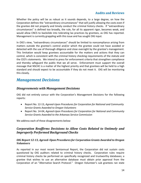#### **Audits and Reviews**

Whether the policy will be as robust as it sounds depends, to a large degree, on how the Corporation defines the "extraordinary circumstances" that will justify allowing the costs even if the grantee did not properly and timely conduct the criminal history checks. If "extraordinary circumstances" is defined too broadly, the rule, for all its apparent rigor, becomes weak, and would allow CNCS to backslide into tolerating lax practices by grantees, as OIG has reported. Management is currently grappling with this issue and has sought OIG input.

In OIG's view, "extraordinary circumstances" should be limited to noncompliance arising from matters outside the grantee's control and/or which the grantee could not have avoided or detected with the use of thorough diligence and close oversight by the grantee's management. This limitation would keep grantees accountable for the matters and actions that they can control, which is consistent with the criminal history checking requirements of the statute and the CEO's statements. We intend to press for enforcement criteria that strengthen compliance and thereby safeguard the public that we all serve. Enforcement must support the overall message that NSCHC is a matter of the highest priority and that grantees will be held to a high standard and should expect to be accountable if they do not meet it. OIG will be monitoring this closely.

## <span id="page-14-0"></span>*Management Decisions*

#### *Disagreements with Management Decisions*

OIG did not entirely concur with the Corporation's Management Decisions for the following reports:

- Report No. 12-13, *Agreed-Upon Procedures for Corporation for National and Community Service Grants Awarded to Oregon Volunteers*
- Report No. 14-04, *Agreed-Upon Procedures for Corporation for National and Community Service Grants Awarded to the Arkansas Service Commission*

We address each of these disagreements below:

#### *Corporation Reaffirms Decisions to Allow Costs Related to Untimely and Improperly Performed Background Checks*

#### *OIG Report 12-13, Agreed–Upon Procedures for Corporation Grants Awarded to Oregon Volunteers*

As reported in our most recent Semiannual Report, the Corporation did not sustain costs questioned by OIG auditors related to criminal history checks. Corporation rules require criminal history checks be performed on specifically recognized and trustworthy databases; a grantee that wishes to use an alternative database must obtain prior approval from the Corporation of an "Alternative Search Protocol." Oregon Volunteer's sub grantees ran state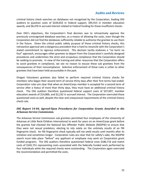#### **Audits and Reviews**

criminal history check searches on databases not recognized by the Corporation, leading OIG auditors to question costs of \$220,655 in Federal support, \$95,915 in member education awards, and \$6,470 in accrued interest related to Federal funding for those insufficient checks.

Over OIG's objections, the Corporation's final decision was to retroactively approve the previously unrecognized database searches, as a means of allowing the costs, even though the Corporation did not find the databases sufficiently reliable to authorize the grantee to use them in the future. Given the critical public safety purpose of these criminal history checks, this retroactive approval sets a dangerous precedent that is hard to reconcile with the Corporation's stated commitment to rigorous enforcement. This decision tacitly endorses a "no harm no foul" approach, encourages other grantees to depart from the Corporation's carefully designed procedures and undermines the strict and scrupulous compliance that the Corporation should be seeking to promote. In view of the training and other resources that the Corporation offers to assist grantees in compliance, we see no reason to excuse these sub grantees from the consequences of their noncompliance. Selective enforcement of these rules is unfair to other grantees that have been held accountable in the past.

Oregon Volunteers grantees also failed to perform required criminal history checks for members who began their second term of service thirty days after their first terms had ended. Corporation rules are clear that when an AmeriCorps member is accepted for a second term of service after a hiatus of more than thirty days, they must have an additional criminal history check. The OIG auditors therefore questioned federal support costs of \$37,697, member education awards of \$14,800, and \$2,232 in accrued interest. The Corporation overruled these questioned costs as well, despite the clear and unequivocal requirements of the criminal history check rule.

#### *OIG Report 14-04, Agreed-Upon Procedures for Corporation Grants Awarded to the Arkansas Service Commission.*

The Arkansas Service Commission sub grantees permitted four employees of the University of Arkansas at Little Rock-Children International to work for years on an AmeriCorps grant before the grantee had checked the National Sex Offender Public Website (NSOPW) to ensure that they were not sexual predators, electing to rely solely on the untimely results of an FBI fingerprint check. An FBI fingerprint check typically will not yield results until months after its initiation and sometimes longer. Corporation rules are clear that for safety's sake, the NSOPW search must take place "before" any applicant or employee may work on Corporation grant funded programs. The OIG auditors therefore questioned Federal costs \$186,716 and match costs of \$165,751 representing costs associated with the federally funded work performed by four individuals while the required checks were outstanding. The Corporation again overruled the recommendation and permitted the costs.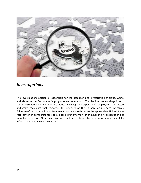

## <span id="page-16-0"></span>*Investigations*

The Investigations Section is responsible for the detection and investigation of fraud, waste, and abuse in the Corporation's programs and operations. The Section probes allegations of serious—sometimes criminal—misconduct involving the Corporation's employees, contractors and grant recipients that threatens the integrity of the Corporation's service initiatives. Evidence of serious criminal or fraudulent conduct is referred to the appropriate United States Attorney or, in some instances, to a local district attorney for criminal or civil prosecution and monetary recovery. Other investigative results are referred to Corporation management for information or administrative action.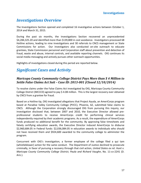## <span id="page-17-0"></span>*Investigations Overview*

The Investigations Section opened and completed 16 investigative actions between October 1, 2014 and March 31, 2015.

During the past six months, the Investigations Section recovered an unprecedented \$4,284,325.20 and identified more than \$139,800 in cost avoidance. Investigators processed 68 Hotline actions, leading to nine investigations and 30 referrals to CNCS management or State Commissions for action. Our investigators also conducted on-site outreach to educate grantees, State Commission personnel and Corporation staff about prevention and detection of fraud, waste and abuse, internal controls, and available reporting channels. OIG continues its social media messaging and actively pursues other outreach opportunities.

Highlights of investigations closed during this period are reported below.

## <span id="page-17-1"></span>*Significant Cases and Activity*

#### *Maricopa County Community College District Pays More than \$ 4 Million to Settle False Claims Act Suit – Case ID: 2013-001 (Closed 12/10/2014)*

To resolve claims under the False Claims Act investigated by OIG, Maricopa County Community College District (MCCCD) agreed to pay \$ 4.08 million. This is the largest recovery ever obtained by CNCS from a grantee for fraud.

Based on a Hotline tip, OIG investigated allegations that Project Ayuda, an AmeriCorps program based at Paradise Valley Community College (PVCC), Phoenix, AZ, submitted false claims to CNCS. Although the Corporation strongly discouraged OIG from pursuing this inquiry, our investigation disclosed that, between 2007 and 2010, the Executive Director allowed preprofessional students to receive AmeriCorps credit for performing clinical services independently required by their academic programs. As a result, the expenditure of AmeriCorps funds produced no additional benefit for the community. By approving false timesheets and falsely certifying education awards, the Executive Director induced AmeriCorps to disburse \$2,960,684.05 in Federal funds: \$2,036,084.05 in education awards to individuals who should not have received them and \$924,600 awarded to the community college to administer the program.

Concurrent with OIG's investigation, a former employee of the college filed a qui tam (whistleblower) action for the same conduct. The Department of Justice declined to prosecute criminally, in favor of pursuing a recovery through that civil action, *United States ex rel. Hunt v. Maricopa County Community College District; Paula and Richard Vaughn*, No. 11-cv-2241 (D. Ariz.).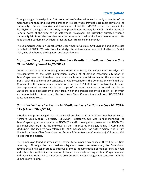#### **Investigations**

Through dogged investigation, OIG produced irrefutable evidence that only a handful of the more than one thousand students enrolled in Project Ayuda provided cognizable service to the community. Rather than risk a determination of liability, MCCCD settled the lawsuit for \$4,083,304 in damages and penalties, an unprecedented recovery for CNCS. As the Inspector General noted at the time of the settlement, "Taxpayers are justifiably outraged when a community fails to receive promised services because national service funds were misused. We hope that this settlement will deter other grantees from similar misconduct."

The Commercial Litigation Branch of the Department of Justice's Civil Division handled the case on behalf of CNCS. We wish to acknowledge the determination and skill of attorney Patrick Klein, who shepherded the litigation and its settlement.

#### *Improper Use of AmeriCorps Members Results in Disallowed Costs – Case ID: 2014-023 (Closed 10/8/2014)*

During a monitoring visit to sub grantee Green City Force, Inc. (Green City) Brooklyn, NY, representatives of the State Commission learned of allegations regarding alteration of AmeriCorps members' timesheets and unallowable service activities beyond the scope of the grant. With the guidance and assistance of OIG investigators, the Commission concluded that 36 percent of the service hours claimed for grant year 2013-2014 were unallowable, because they represented service outside the scope of the grant, activities performed outside the United States or displacement of staff from which the grantee benefited directly, all of which are impermissible. As a result, the New York State Commission disallowed \$23,788.54 in education award costs.

#### *Unauthorized Service Results in Disallowed Service Hours – Case ID: 2014- 019 (Closed 10/9/2014)*

A Hotline complaint alleged that an individual enrolled as an AmeriCorps member serving at Northern Ohio Medical University (NEOMED), Rootstown, OH, was in fact managing the AmeriCorps program as a member of NEOMED's staff. Investigators discovered that NEOMED's personnel directory listed the individual as the "AmeriCorps Manager, Family & Community Medicine." The incident was referred to CNCS management for further action, who in turn directed the Serve Ohio Commission on Service & Volunteerism (Commission), Columbus, OH, to look into the matter.

The Commission found no irregularities, except for a minor discrepancy of three hours in time reporting. Although the most serious allegations were unsubstantiated, the Commission advised that it had taken steps to improve grantees' documentation of member service hours and establish a well-defined separation between individuals serving as AmeriCorps members and those who transition to AmeriCorps program staff. CNCS management concurred with the Commission's findings.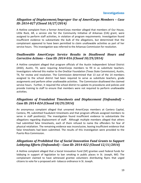#### *Allegation of Displacement/Improper Use of AmeriCorps Members – Case ID: 2014-027 (Closed 10/27/2014)*

A Hotline complaint from a former AmeriCorps member alleged that members of Our House, Little Rock, AR, a service site for the Community Initiative of Arkansas (CIA) grant, were assigned to perform staff activities, in violation of program requirements. Investigation found insufficient evidence to substantiate the bulk of the allegations, but determined that the complainant appeared to have been permitted to claim unallowable activities as part of her service hours. This investigation was referred to the Arkansas Commission for resolution.

#### *Unallowable AmeriCorps Service Results in Disallowed Hours and Corrective Actions – Case ID: 2014-016 (Closed 10/29/2014)*

A Hotline complaint alleged that program officials of the Austin Independent School District (AISD), Austin, TX, were requiring AmeriCorps members to fill in as substitute teachers. Investigators referred this matter to the OneStar Foundation (Texas State Commission), Austin, TX, for review and resolution. The Commission determined that 13 out of the 14 members assigned to the school district had been required to serve as substitute teachers, grade assignments and perform other unallowable activities. The Commission disallowed the claimed service hours. Further, it required the school district to update its procedures and policies and provide training to staff to ensure that members were not required to perform unallowable activities.

#### *Allegations of Fraudulent Timesheets and Displacement (Unfounded) – Case ID: 2014-024 (Closed 10/29/2014)*

An anonymous complaint alleged that unnamed AmeriCorps members at Cantera Capital, Cantera, PR, submitted fraudulent timesheets and that program officials assigned members to serve in staff position(s). The investigation found insufficient evidence to substantiate the allegations regarding displacement of staff. Although multiple members alleged that others had submitted false timesheets, each of them refused to name the offenders for fear of physical retaliation. The remaining evidence was inconclusive, leaving insufficient evidence that false timesheets had been submitted. The results of this investigation were provided to the Puerto Rico Commission.

#### *Allegations of Prohibited Use of Social Innovation Fund Grants to Support Lobbying Efforts (Unfounded) – Case ID: 2014-022 (Closed 12/11/2014)*

A Hotline complaint alleged that a Social Innovation Fund (SIF) grantee used Federal funds for lobbying in support of legislation to ban smoking in public places in St. Joseph, MO. The complainant claimed to have witnessed grantee volunteers distributing flyers that urged citizens to vote for a proposed anti- tobacco ordinance in St. Joseph.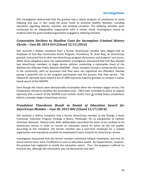#### **Investigations**

OIG investigators determined that the grantee had a robust program of compliance to avoid lobbying and was in fact using the grant funds to promote healthy lifestyles, including education regarding obesity, nutrition and smoking cessation. The lobbying activities were conducted by an independent organization with a similar name. Investigators found no evidence that the grant-funded organization engaged in lobbying activities.

#### *Corporation Declines to Disallow Costs for Incomplete Criminal History Checks – Case ID: 2014-014 (Closed 12/11/2014)*

OIG received a Hotline complaint from a former AmeriCorps member who alleged that an employee of East Bay Community Action Program, Providence, RI, (East Bay), an AmeriCorps grantee, instructed him to alter non-AmeriCorps program documents and students' test scores. While those allegations were not substantiated, investigators discovered that East Bay allowed two AmeriCorps members to begin service without conducting a nationwide check of the National Sex Offender Public Website (NSOPW). Those members served a combined 491 hours in the community, with no assurance that they were not registered sex offenders, thereby posing a potential risk to the program participants and the persons that they served. The Edward M. Kennedy Serve America Act of 2009 expressly requires grantees to conduct a namebased search of the NSOPW.

Even though the checks were demonstrably incomplete when the members began service, the Corporation refused to disallow the associated costs. CNCS later amended its policy to require expressly that a search of the NSOPW must include results from all United States jurisdictions before a member begins AmeriCorps service.

#### *Fraudulent Timesheets Result in Denial of Education Award for AmeriCorps Member – Case ID: 2015-002 (Closed 12/17/2014)*

OIG received a Hotline complaint that a former AmeriCorps member at the Change a Heart Franciscan Volunteer Program (Change a Heart), Pittsburgh, PA, (a sub-grantee of Catholic Volunteer Network, Takoma Park, MD), deliberately overstated the hours to be credited to his AmeriCorps service in order to receive an education award for which he did not qualify. According to the complaint, the former member was a part-time employee for a related organization and improperly counted his employment hours towards his AmeriCorps service.

Investigators discovered that the former member submitted inflated timesheets, and that his actual service hours were insufficient to earn an education award. By happenstance, however, the grantee had neglected to certify the education award. Thus, the taxpayers suffered no financial loss, although the misconduct was not discovered until later.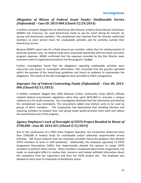#### *Allegation of Misuse of Federal Grant Funds/ Unallowable Service (Unfounded) – Case ID: 2015-004 (Closed 12/29/2014)*

A Hotline complaint alleged that an AmeriCorps Site Director at Notre Dame Mission Volunteers (NDMV) San Francisco, CA, used AmeriCorps funds to pay for lavish dining for himself, his spouse and AmeriCorps members. The complainant also reported that the Director authorized members to claim service hours for unallowable activities and for activities outside their AmeriCorps service.

Because NDMV's grant was for a fixed amount per member, rather than for reimbursement of particular grantee costs, no Federal funds were associated specifically with the meals and other program expenses. NDMV confirmed that the expenses recorded by the Site Director were consistent with its organizational policies and the program's budget.

Further, investigation found that the allegations regarding unallowable activities were inaccurate and based on incomplete information. OIG concluded that the grantee operated within the purview of the AmeriCorps guidelines and found no evidence to substantiate the allegations. The results of the OIG investigation were provided to CNCS management.

#### *Improper Use of Federal Contracting Funds (Unfounded) – Case ID: 2015- 006 (Closed 03/11/2015)*

A Hotline complaint alleged that CNCS National Civilian Community Corps (NCCC) officials violated Federal procurement regulations when they spent \$675,000 to renovate a campus cafeteria at a for-profit university. Our investigation disclosed that the information provided by the complainant was incomplete. The renovations added new kitchen units to be used by groups of NCCC members. The Corporation had determined that installing kitchens and requiring members to prepare their own group meals would promote team work and reduce the overall food costs of the program.

#### *Agency Employee's Lack of Oversight of VISTA Project Resulted in Waste of \$700,000 - Case ID: 2014-021 (Closed 3/12/2015)*

Due to the carelessness of a CNCS State Program Specialist, the Corporation disbursed more than \$700,000 in Federal funds for unallowable and/or otherwise impermissible service activities. OIG found evidence that the employee provided inaccurate guidance that allowed VISTA members to serve in staff position(s). Additionally, the employee approved 13 VISTA Assignment Descriptions (VADs) that impermissibly allowed the sponsor to assign VISTA members to perform direct service. When members complained about these assignments, she made no meaningful effort to resolve their concerns and instead withheld information about the complaints from her supervisors and from the VISTA project site. The employee was allowed to retire prior to imposition of disciplinary action.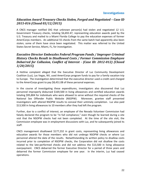#### *Education Award Treasury Checks Stolen, Forged and Negotiated – Case ID 2015-016 (Closed 03/12/2015)*

A CNCS manager notified OIG that unknown person(s) had stolen and negotiated 12 U.S. Government Treasury checks, totaling \$6,692.47, representing education awards paid by the U.S. Treasury and mailed to a Miami Florida College to pay the education expenses of former AmeriCorps members. An additional 55 checks from the same batch had apparently also been stolen; some of them have since been negotiated. This matter was referred to the United States Secret Service, Miami, FL, for investigation.

#### *Executive Director Embezzles Federal Program Funds / Improper Criminal History Checks Result in Disallowed Costs / Former Commission Employee Debarred for Collusion, Conflict of Interest - (Case ID: 2012-012) (Closed 3/20/2015)*

A Hotline complaint alleged that the Executive Director of Luz Community Development Coalition (Luz), Las Vegas, NV, used AmeriCorps program funds to pay for a family vacation trip to Europe. The investigation determined that the executive director used a credit card charged to the AmeriCorps grant to pay \$8,451.08 of these personal expenses.

In the course of investigating these expenditures, investigators also discovered that Luz personnel improperly disbursed \$169,500 in living allowances and certified education awards totaling \$95,804 for individuals who were allowed to serve without the required checks of the National Sex Offender Public Website (NSOPW). Moreover, grantee staff presented investigators with altered NSOPW results to conceal their untimely completion. Luz also paid \$13,500 in living allowances to 10 members after they had left the program.

Further, due to a conflict of interest, an employee of the Nevada Volunteer Commission had falsely declared the program to be "in full compliance," even though he learned during a site visit that the NSOPW checks had not been completed. At the time of the site visit, the Commission employee was in employment discussions with Luz, and he subsequently joined its staff.

CNCS management disallowed \$177,232 in grant costs, representing living allowances and education awards for those members who did not undergo NSOPW checks or where Luz personnel altered the date of the results. Notwithstanding its written policy to disallow costs incurred prior to completion of NSOPW checks, the Corporation did not disallow the costs related to the late-performed checks and did not address the \$13,500 in living allowance overpayment. CNCS debarred the former Executive Director for a period of three years and debarred the former Commission employee for one year. In the interim, Luz had ceased operations.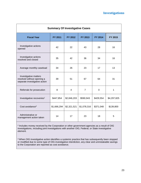| <b>Summary Of Investigative Cases</b>                                                |                |             |                |           |             |  |  |
|--------------------------------------------------------------------------------------|----------------|-------------|----------------|-----------|-------------|--|--|
| <b>Fiscal Year</b>                                                                   | <b>FY 2011</b> | FY 2012     | FY 2013        | FY 2014   | FY 2015     |  |  |
| Investigative actions<br>opened                                                      | 42             | 22          | 43             | 28        | 16          |  |  |
| Investigative actions<br>resolved and closed                                         | 35             | 42          | 36             | 34        | 16          |  |  |
| Average monthly caseload                                                             | 34             | 26          | 23             | 17        | 13          |  |  |
| Investigative matters<br>resolved without opening a<br>separate investigative action | 39             | 51          | 67             | 64        | 31          |  |  |
| Referrals for prosecution                                                            | 8              | 4           | $\overline{7}$ | $\Omega$  | 1           |  |  |
| Investigative recoveries <sup>2</sup>                                                | \$447,854      | \$2,846,203 | \$590,943      | \$429,554 | \$4,297,825 |  |  |
| Cost avoidance <sup>3</sup>                                                          | \$1,666,294    | \$2,321,521 | \$1,078,316    | \$371,048 | \$139,800   |  |  |
| Administrative or<br>management action taken                                         | 14             | 17          | 23             | 18        | 5           |  |  |

<sup>2</sup> Includes money received by the Corporation or other government agencies as a result of OIG investigations, including joint investigations with another OIG, Federal, or State investigative element.

<sup>3</sup> When OIG investigative action identifies a systemic practice that has subsequently been stopped or modified due to some type of OIG investigative interdiction, any clear and unmistakable savings to the Corporation are reported as cost avoidance.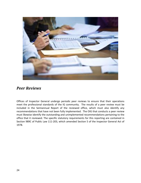

## <span id="page-24-0"></span>*Peer Reviews*

Offices of Inspector General undergo periodic peer reviews to ensure that their operations meet the professional standards of the IG community. The results of a peer review must be included in the Semiannual Report of the reviewed office, which must also identify any recommendations that have not been fully implemented. The OIG that conducts a peer review must likewise identify the outstanding and unimplemented recommendations pertaining to the office that it reviewed. The specific statutory requirements for this reporting are contained in Section 989C of Public Law 111-203, which amended Section 5 of the Inspector General Act of 1978.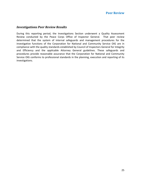#### *Investigations Peer Review Results*

During this reporting period, the Investigations Section underwent a Quality Assessment Review conducted by the Peace Corps Office of Inspector General. That peer review determined that the system of internal safeguards and management procedures for the investigative functions of the Corporation for National and Community Service OIG are in compliance with the quality standards established by Council of Inspectors General for Integrity and Efficiency and the applicable Attorney General guidelines. These safeguards and procedures provide reasonable assurance that the Corporation for National and Community Service OIG conforms to professional standards in the planning, execution and reporting of its investigations.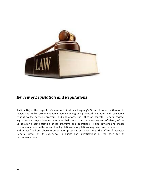

## <span id="page-26-0"></span>*Review of Legislation and Regulations*

Section 4(a) of the Inspector General Act directs each agency's Office of Inspector General to review and make recommendations about existing and proposed legislation and regulations relating to the agency's programs and operations. The Office of Inspector General reviews legislation and regulations to determine their impact on the economy and efficiency of the Corporation's administration of its programs and operations. It also reviews and makes recommendations on the impact that legislation and regulations may have on efforts to prevent and detect fraud and abuse in Corporation programs and operations. The Office of Inspector General draws on its experience in audits and investigations as the basis for its recommendations.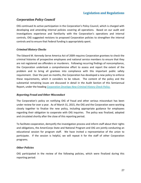#### **Legislation and Regulations**

#### *Corporation Policy Council*

OIG continued its active participation in the Corporation's Policy Council, which is charged with developing and amending internal policies covering all operations. Based on our audit and investigations experience and familiarity with the Corporation's operations and internal controls, OIG suggested revisions to proposed Corporation policies to strengthen the internal controls and to ensure that Federal funding is appropriately spent.

#### *Criminal History Checks*

The Edward M. Kennedy Serve America Act of 2009 requires Corporation grantees to check the criminal histories of prospective employees and national service members to ensure that they are not registered sex offenders or murderers. Following recurring findings of noncompliance, the Corporation undertook a comprehensive effort to assess and report the extent of the problem and to bring all grantees into compliance with this important public safety requirement. Over the past six months, the Corporation has developed a new policy to enforce these requirements, which it considers to be robust. The content of the policy and the substantial remaining issues are discussed in detail in the Audit Section of this Semiannual Report, under the heading *[Corporation Develops New Criminal History Check Policy.](#page-12-1)*

#### *Reporting Fraud and Other Misconduct*

The Corporation's policy on notifying OIG of fraud and other serious misconduct has been under review for over a year. As of March 31, 2015, the OIG and the Corporation were working closely together to finalize the new policy, including appropriate guidance for employees regarding their obligation to cooperate with OIG inquiries. The policy was finalized, adopted and circulated shortly after the close of this reporting period.

To facilitate cooperation, demystify the investigation process and inform staff about their rights and obligations, the AmeriCorps State and National Program and OIG are jointly conducting an educational session for program staff. We have invited a representative of the union to participate. If the session is helpful, we will repeat it for the staff of other Corporation programs.

#### *Other Policies*

OIG participated in the review of the following policies, which were finalized during this reporting period: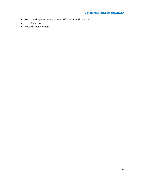## **Legislation and Regulations**

- Structured Systems Development Life-Cycle Methodology
- Debt Collection
- Records Management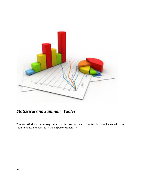

## <span id="page-29-0"></span>*Statistical and Summary Tables*

The statistical and summary tables in this section are submitted in compliance with the requirements enumerated in the Inspector General Act.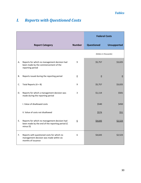## <span id="page-30-0"></span>*I. Reports with Questioned Costs*

|    |                                                                                                             |                  | <b>Federal Costs</b>   |                    |
|----|-------------------------------------------------------------------------------------------------------------|------------------|------------------------|--------------------|
|    | <b>Report Category</b>                                                                                      | <b>Number</b>    | <b>Questioned</b>      | <b>Unsupported</b> |
|    |                                                                                                             |                  | (Dollars in thousands) |                    |
| А. | Reports for which no management decision had<br>been made by the commencement of the<br>reporting period    | 9                | \$5,757                | \$3,025            |
| В. | Reports issued during the reporting period                                                                  | $\underline{0}$  | $\underline{0}$        | $\underline{0}$    |
| C. | Total Reports $(A + B)$                                                                                     | 9                | \$5,757                | \$3,025            |
| D. | Reports for which a management decision was<br>made during the reporting period                             | 3                | \$1,114                | \$501              |
|    | I. Value of disallowed costs                                                                                |                  | \$540                  | \$450              |
|    | II. Value of costs not disallowed                                                                           |                  | \$574                  | \$51               |
| E. | Reports for which no management decision had<br>been made by the end of the reporting period (C<br>minus D) | $6 \overline{6}$ | \$4,643                | \$2,523            |
| F. | Reports with questioned costs for which no<br>management decision was made within six<br>months of issuance | 6                | \$4,643                | \$2,523            |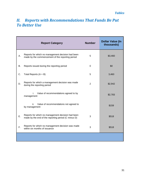## <span id="page-31-0"></span>*II. Reports with Recommendations That Funds Be Put To Better Use*

|    | <b>Report Category</b>                                                                                   | <b>Number</b>  | <b>Dollar Value (In</b><br>thousands) |
|----|----------------------------------------------------------------------------------------------------------|----------------|---------------------------------------|
| Α. | Reports for which no management decision had been<br>made by the commencement of the reporting period    | 5              | \$3,460                               |
| Β. | Reports issued during the reporting period                                                               | 0              | \$0                                   |
| C. | Total Reports $(A + B)$                                                                                  | 5              | 3,460                                 |
| D. | Reports for which a management decision was made<br>during the reporting period                          | $\overline{2}$ | \$2,942                               |
|    | Value of recommendations agreed to by<br>i.<br>management                                                |                | \$2,783                               |
|    | ii.<br>Value of recommendations not agreed to<br>by management                                           |                | \$159                                 |
| Ε. | Reports for which no management decision had been<br>made by the end of the reporting period (C minus D) | 3              | \$518                                 |
| F. | Reports for which no management decision was made<br>within six months of issuance                       | 3              | \$518                                 |
|    |                                                                                                          |                |                                       |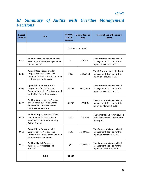## <span id="page-32-0"></span>*III. Summary of Audits with Overdue Management Decisions*

| <b>Report</b><br><b>Number</b> | <b>Title</b>                                                                                                                          | <b>Federal</b><br><b>Dollars</b><br><b>Questio</b> | <b>Mgmt. Decision</b><br><b>Due</b> | <b>Status at End of Reporting</b><br><b>Period</b>                                            |
|--------------------------------|---------------------------------------------------------------------------------------------------------------------------------------|----------------------------------------------------|-------------------------------------|-----------------------------------------------------------------------------------------------|
|                                |                                                                                                                                       | (Dollars in thousands)                             |                                     |                                                                                               |
| 12-04                          | <b>Audit of Earned Education Awards</b><br>Resulting from Compelling Personal<br>Circumstances                                        | \$0                                                | 5/9/2012                            | The Corporation issued a Draft<br>Management Decision for this<br>report on March 31, 2015.   |
| $12 - 13$                      | Agreed-Upon Procedures for<br>Corporation for National and<br><b>Community Service Grants Awarded</b><br>to the Oregon Volunteers     | \$392                                              | 2/15/2013                           | The OIG responded to the Draft<br>Management Decision for this<br>report on February 9, 2015. |
| $12 - 16$                      | Agreed-Upon Procedures for<br>Corporation for National and<br><b>Community Service Grants Awarded</b><br>to the New Jersey Commission | \$1,895                                            | 3/27/2013                           | The Corporation issued a Draft<br>Management Decision for this<br>report on March 27, 2015.   |
| 14-05                          | Audit of Corporation for National<br>and Community Service Grants<br>Awarded to Family Services of<br><b>Central Massachusetts</b>    | \$1,738                                            | 12/11/14                            | The Corporation issued a Draft<br>Management Decision for this<br>report on March 13, 2015.   |
| 14-06                          | Audit of Corporation for National<br>and Community Service Grants<br>Awarded to Penquis Community<br><b>Action Program</b>            | \$394                                              | 8/4/2014                            | The Corporation has not issued a<br>Draft Management Decision for<br>this report.             |
| 14-08                          | Agreed-Upon Procedures for<br>Corporation for National and<br><b>Community Service Grants Awarded</b><br>to the Nevada Volunteers     | \$142                                              | 11/24/2014                          | The Corporation issued a Draft<br>Management Decision for this<br>report on March 13, 2015.   |
| 14-09                          | Audit of Blanket Purchase<br>Agreements for Professional<br>Services                                                                  | \$81                                               | 12/22/2014                          | The Corporation issued a Draft<br>Management Decision for this<br>report on October 1, 2014.  |
|                                | <b>Total</b>                                                                                                                          | \$4,642                                            |                                     |                                                                                               |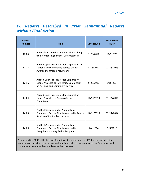## <span id="page-33-0"></span>*IV. Reports Described in Prior Semiannual Reports without Final Action*

| <b>Report</b><br><b>Number</b>                                                                                                                                                                                                                      | <b>Title</b>                                                                                                             | <b>Date Issued</b> | <b>Final Action</b><br>Due* |  |  |
|-----------------------------------------------------------------------------------------------------------------------------------------------------------------------------------------------------------------------------------------------------|--------------------------------------------------------------------------------------------------------------------------|--------------------|-----------------------------|--|--|
| 12-04                                                                                                                                                                                                                                               | Audit of Earned Education Awards Resulting<br>from Compelling Personal Circumstances                                     | 11/9/2011          | 11/9/2012                   |  |  |
| $12 - 13$                                                                                                                                                                                                                                           | Agreed-Upon Procedures for Corporation for<br>National and Community Service Grants<br>Awarded to Oregon Volunteers      | 8/15/2012          | 12/15/2013                  |  |  |
| $12 - 16$                                                                                                                                                                                                                                           | Agreed-Upon Procedures for Corporation<br>Grants Awarded to New Jersey Commission<br>on National and Community Service   | 9/27/2012          | 1/15/2014                   |  |  |
| 14-04                                                                                                                                                                                                                                               | Agreed-Upon Procedures for Corporation<br><b>Grants Awarded to Arkansas Service</b><br>Commission                        | 11/14/2013         | 11/14/2014                  |  |  |
| 14-05                                                                                                                                                                                                                                               | Audit of Corporation for National and<br>Community Service Grants Awarded to Family<br>Services of Central Massachusetts | 12/11/2013         | 12/11/2014                  |  |  |
| 14-06                                                                                                                                                                                                                                               | Audit of Corporation for National and<br>Community Service Grants Awarded to<br>Penquis Community Action Program         | 2/4/2014           | 2/4/2015                    |  |  |
| *Under section 6009 of the Federal Acquisition Streamlining Act of 1994, as amended, a final<br>management decision must be made within six months of the issuance of the final report and<br>corrective actions must be completed within one year. |                                                                                                                          |                    |                             |  |  |